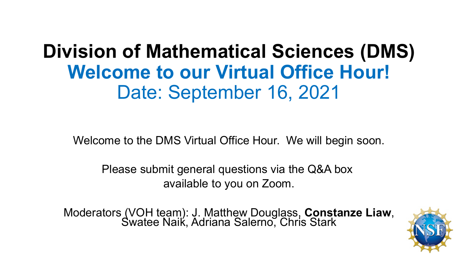## **Division of Mathematical Sciences (DMS) Welcome to our Virtual Office Hour!** Date: September 16, 2021

Welcome to the DMS Virtual Office Hour. We will begin soon.

Please submit general questions via the Q&A box available to you on Zoom.

Moderators (VOH team): J. Matthew Douglass, **Constanze Liaw**, Swatee Naik, Adriana Salerno, Chris Stark

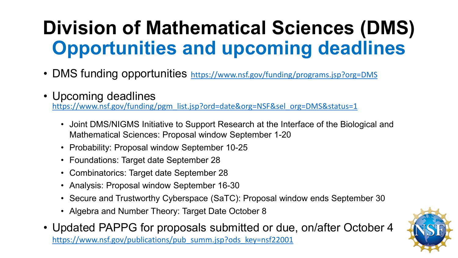# **Division of Mathematical Sciences (DMS) Opportunities and upcoming deadlines**

- DMS funding opportunities <https://www.nsf.gov/funding/programs.jsp?org=DMS>
- Upcoming deadlines

[https://www.nsf.gov/funding/pgm\\_list.jsp?ord=date&org=NSF&sel\\_org=DMS&status=1](https://www.nsf.gov/funding/pgm_list.jsp?ord=date&org=NSF&sel_org=DMS&status=1)

- Joint DMS/NIGMS Initiative to Support Research at the Interface of the Biological and Mathematical Sciences: Proposal window September 1-20
- Probability: Proposal window September 10-25
- Foundations: Target date September 28
- Combinatorics: Target date September 28
- Analysis: Proposal window September 16-30
- Secure and Trustworthy Cyberspace (SaTC): Proposal window ends September 30
- Algebra and Number Theory: Target Date October 8
- Updated PAPPG for proposals submitted or due, on/after October 4 [https://www.nsf.gov/publications/pub\\_summ.jsp?ods\\_key=nsf22001](https://www.nsf.gov/publications/pub_summ.jsp?ods_key=nsf22001)

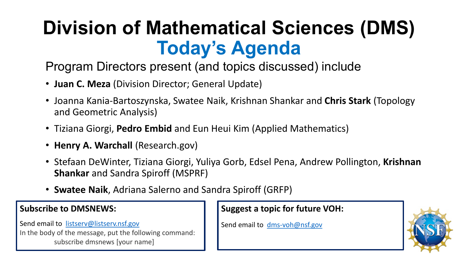# **Division of Mathematical Sciences (DMS) Today's Agenda**

Program Directors present (and topics discussed) include

- **Juan C. Meza** (Division Director; General Update)
- Joanna Kania-Bartoszynska, Swatee Naik, Krishnan Shankar and **Chris Stark** (Topology and Geometric Analysis)
- Tiziana Giorgi, **Pedro Embid** and Eun Heui Kim (Applied Mathematics)
- **Henry A. Warchall** (Research.gov)
- Stefaan DeWinter, Tiziana Giorgi, Yuliya Gorb, Edsel Pena, Andrew Pollington, **Krishnan Shankar** and Sandra Spiroff (MSPRF)
- **Swatee Naik**, Adriana Salerno and Sandra Spiroff (GRFP)

#### **Subscribe to DMSNEWS:**

Send email to [listserv@listserv.nsf.gov](mailto:listserv@listserv.nsf.gov) In the body of the message, put the following command: subscribe dmsnews [your name]

#### **Suggest a topic for future VOH:**

Send email to [dms-voh@nsf.gov](mailto:dms-voh@nsf.gov)

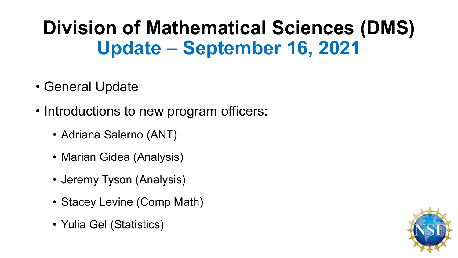## **Division of Mathematical Sciences (DMS) Update – September 16, 2021**

- General Update
- Introductions to new program officers:
	- Adriana Salerno (ANT)
	- Marian Gidea (Analysis)
	- Jeremy Tyson (Analysis)
	- Stacey Levine (Comp Math)
	- Yulia Gel (Statistics)

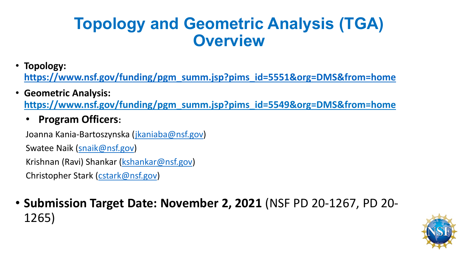### **Topology and Geometric Analysis (TGA) Overview**

• **Topology:** 

**[https://www.nsf.gov/funding/pgm\\_summ.jsp?pims\\_id=5551&org=DMS&from=home](https://www.nsf.gov/funding/pgm_summ.jsp?pims_id=5551&org=DMS&from=home)**

- **Geometric Analysis: https://www.nsf.gov/funding/pgm\_summ.jsp?pims\_id=5549&org=DMS&from=home**
	- **Program Officers:**

Joanna Kania-Bartoszynska ([jkaniaba@nsf.gov](mailto:jkaniaba@nsf.gov)) Swatee Naik [\(snaik@nsf.gov\)](mailto:snaik@nsf.gov) Krishnan (Ravi) Shankar ([kshankar@nsf.gov](mailto:kshankar@nsf.gov)) Christopher Stark [\(cstark@nsf.gov](mailto:cstark@nsf.gov))

#### • **Submission Target Date: November 2, 2021** (NSF PD 20-1267, PD 20- 1265)

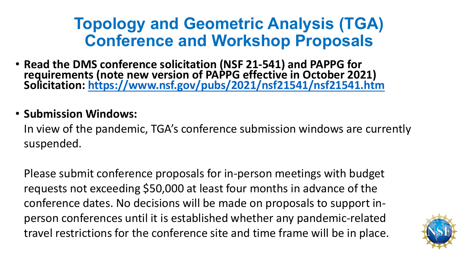### **Topology and Geometric Analysis (TGA) Conference and Workshop Proposals**

• **Read the DMS conference solicitation (NSF 21-541) and PAPPG for requirements (note new version of PAPPG effective in October 2021) Solicitation:<https://www.nsf.gov/pubs/2021/nsf21541/nsf21541.htm>**

#### • **Submission Windows:**

In view of the pandemic, TGA's conference submission windows are currently suspended.

Please submit conference proposals for in-person meetings with budget requests not exceeding \$50,000 at least four months in advance of the conference dates. No decisions will be made on proposals to support inperson conferences until it is established whether any pandemic-related travel restrictions for the conference site and time frame will be in place.

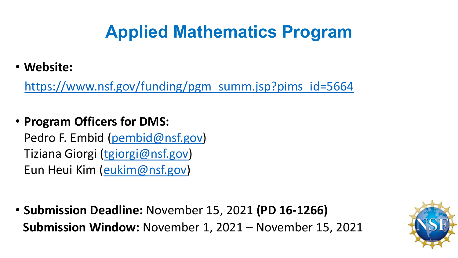## **Applied Mathematics Program**

• **Website:** 

[https://www.nsf.gov/funding/pgm\\_summ.jsp?pims\\_id=5664](https://www.nsf.gov/funding/pgm_summ.jsp?pims_id=5664)

• **Program Officers for DMS:** 

Pedro F. Embid ([pembid@nsf.gov\)](mailto:pembid@nsf.gov) Tiziana Giorgi [\(tgiorgi@nsf.gov](mailto:tgiorgi@nsf.gov)) Eun Heui Kim ([eukim@nsf.gov\)](mailto:eukim@nsf.gov)

• **Submission Deadline:** November 15, 2021 **(PD 16-1266) Submission Window:** November 1, 2021 – November 15, 2021

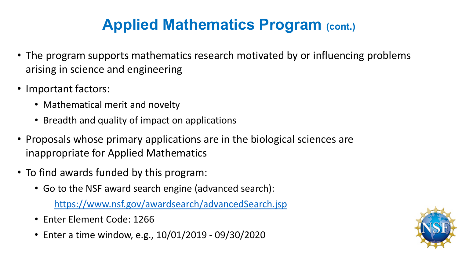## **Applied Mathematics Program (cont.)**

- The program supports mathematics research motivated by or influencing problems arising in science and engineering
- Important factors:
	- Mathematical merit and novelty
	- Breadth and quality of impact on applications
- Proposals whose primary applications are in the biological sciences are inappropriate for Applied Mathematics
- To find awards funded by this program:
	- Go to the NSF award search engine (advanced search):

<https://www.nsf.gov/awardsearch/advancedSearch.jsp>

- Enter Element Code: 1266
- Enter a time window, e.g., 10/01/2019 09/30/2020

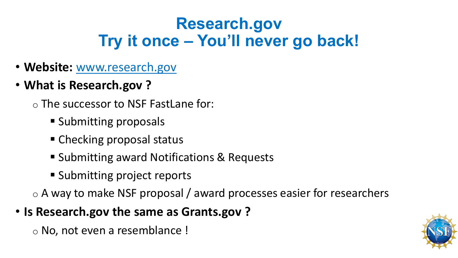## **Research.gov Try it once ‒ You'll never go back!**

- **Website:** www.research.gov
- **What is Research.gov ?**
	- o The successor to NSF FastLane for:
		- **Submitting proposals**
		- Checking proposal status
		- Submitting award Notifications & Requests
		- **Submitting project reports**

o A way to make NSF proposal / award processes easier for researchers

• **Is Research.gov the same as Grants.gov ?**

o No, not even a resemblance !

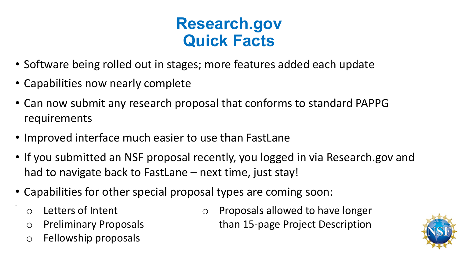### **Research.gov Quick Facts**

- Software being rolled out in stages; more features added each update
- Capabilities now nearly complete
- Can now submit any research proposal that conforms to standard PAPPG requirements
- Improved interface much easier to use than FastLane
- If you submitted an NSF proposal recently, you logged in via Research.gov and had to navigate back to FastLane – next time, just stay!
- Capabilities for other special proposal types are coming soon:
	- o Letters of Intent

•

- o Preliminary Proposals
- o Fellowship proposals

o Proposals allowed to have longer than 15-page Project Description

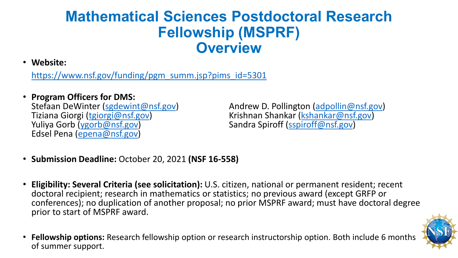#### **Mathematical Sciences Postdoctoral Research Fellowship (MSPRF) Overview**

• **Website:** 

[https://www.nsf.gov/funding/pgm\\_summ.jsp?pims\\_id=5301](https://www.nsf.gov/funding/pgm_summ.jsp?pims_id=5301)

## • **Program Officers for DMS:**

Edsel Pena ([epena@nsf.gov](mailto:epena@nsf.gov))

Stefaan DeWinter ([sgdewint@nsf.gov\)](mailto:sgdewint@nsf.gov) Andrew D. Pollington [\(adpollin@nsf.gov\)](mailto:adpollin@nsf.gov) Tiziana Giorgi [\(tgiorgi@nsf.gov](mailto:Tgiorgi@nsf.gov)) Krishnan Shankar ([kshankar@nsf.gov\)](mailto:kshankar@nsf.gov) Sandra Spiroff ([sspiroff@nsf.gov\)](mailto:sspiroff@nsf.gov)

- **Submission Deadline:** October 20, 2021 **(NSF 16-558)**
- **Eligibility: Several Criteria (see solicitation):** U.S. citizen, national or permanent resident; recent doctoral recipient; research in mathematics or statistics; no previous award (except GRFP or conferences); no duplication of another proposal; no prior MSPRF award; must have doctoral degree prior to start of MSPRF award.



• **Fellowship options:** Research fellowship option or research instructorship option. Both include 6 months of summer support.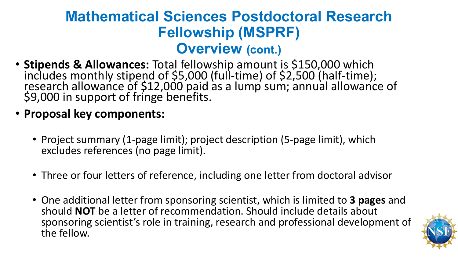#### **Mathematical Sciences Postdoctoral Research Fellowship (MSPRF) Overview (cont.)**

- **Stipends & Allowances:** Total fellowship amount is \$150,000 which includes monthly stipend of \$5,000 (full-time) of \$2,500 (half-time); research allowance of \$12,000 paid as a lump sum; annual allowance of \$9,000 in support of fringe benefits.
- **Proposal key components:**
	- Project summary (1-page limit); project description (5-page limit), which excludes references (no page limit).
	- Three or four letters of reference, including one letter from doctoral advisor
	- One additional letter from sponsoring scientist, which is limited to **3 pages** and should **NOT** be a letter of recommendation. Should include details about sponsoring scientist's role in training, research and professional development of the fellow.

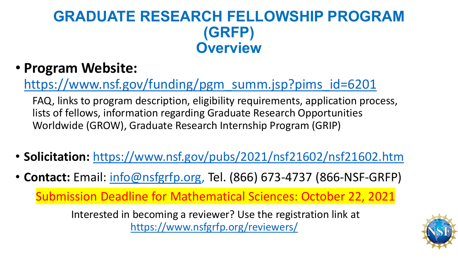#### **GRADUATE RESEARCH FELLOWSHIP PROGRAM (GRFP) Overview**

#### • **Program Website:**

[https://www.nsf.gov/funding/pgm\\_summ.jsp?pims\\_id=6201](https://www.nsf.gov/funding/pgm_summ.jsp?pims_id=6201)

FAQ, links to program description, eligibility requirements, application process, lists of fellows, information regarding Graduate Research Opportunities Worldwide (GROW), Graduate Research Internship Program (GRIP)

- **Solicitation:** <https://www.nsf.gov/pubs/2021/nsf21602/nsf21602.htm>
- **Contact:** Email: [info@nsfgrfp.org,](mailto:info@nsfgrfp.org) Tel. (866) 673-4737 (866-NSF-GRFP)

Submission Deadline for Mathematical Sciences: October 22, 2021

Interested in becoming a reviewer? Use the registration link at <https://www.nsfgrfp.org/reviewers/>

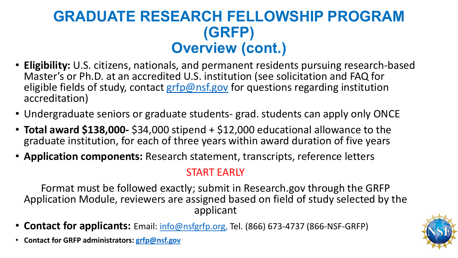#### **GRADUATE RESEARCH FELLOWSHIP PROGRAM (GRFP) Overview (cont.)**

- **Eligibility:** U.S. citizens, nationals, and permanent residents pursuing research-based Master's or Ph.D. at an accredited U.S. institution (see solicitation and FAQ for eligible fields of study, contact [grfp@nsf.gov](mailto:grfp@nsf.gov) for questions regarding institution accreditation)
- Undergraduate seniors or graduate students- grad. students can apply only ONCE
- **Total award \$138,000-** \$34,000 stipend + \$12,000 educational allowance to the graduate institution, for each of three years within award duration of five years
- **Application components:** Research statement, transcripts, reference letters

#### START EARLY

Format must be followed exactly; submit in Research.gov through the GRFP Application Module, reviewers are assigned based on field of study selected by the applicant

- **Contact for applicants:** Email: *info@nsfgrfp.org*, Tel. (866) 673-4737 (866-NSF-GRFP)
- **Contact for GRFP administrators: [grfp@nsf.gov](mailto:grfp@nsf.gov)**

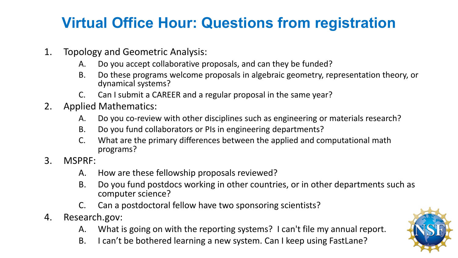### **Virtual Office Hour: Questions from registration**

- 1. Topology and Geometric Analysis:
	- A. Do you accept collaborative proposals, and can they be funded?
	- B. Do these programs welcome proposals in algebraic geometry, representation theory, or dynamical systems?
	- C. Can I submit a CAREER and a regular proposal in the same year?
- 2. Applied Mathematics:
	- A. Do you co-review with other disciplines such as engineering or materials research?
	- B. Do you fund collaborators or PIs in engineering departments?
	- C. What are the primary differences between the applied and computational math programs?
- 3. MSPRF:
	- A. How are these fellowship proposals reviewed?
	- B. Do you fund postdocs working in other countries, or in other departments such as computer science?
	- C. Can a postdoctoral fellow have two sponsoring scientists?
- 4. Research.gov:
	- A. What is going on with the reporting systems? I can't file my annual report.
	- B. I can't be bothered learning a new system. Can I keep using FastLane?